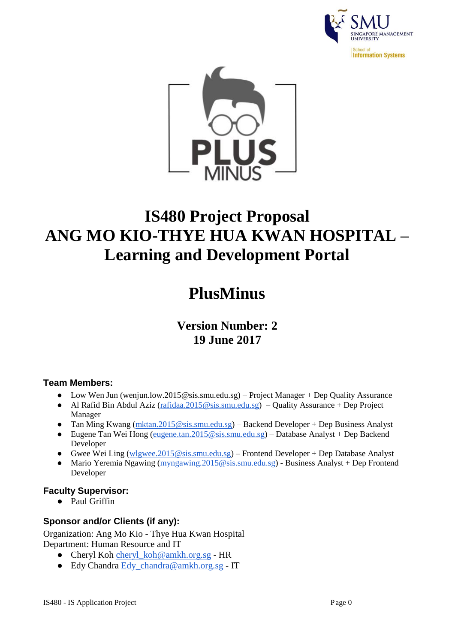



# **IS480 Project Proposal [ANG MO KIO-THYE HUA KWAN HOSPITAL –](https://wiki.smu.edu.sg/is480/Projects/2017-2018_Term_1#ANG_MO_KIO-THYE_HUA_KWAN_HOSPITAL_.E2.80.93_Learning_and_Development_Portal) [Learning and Development Portal](https://wiki.smu.edu.sg/is480/Projects/2017-2018_Term_1#ANG_MO_KIO-THYE_HUA_KWAN_HOSPITAL_.E2.80.93_Learning_and_Development_Portal)**

## **PlusMinus**

## **Version Number: 2 19 June 2017**

### **Team Members:**

- Low Wen Jun [\(wenjun.low.2015@](mailto:wenjun.low.2015@smu.edu.sg)sis.smu.edu.sg) Project Manager + Dep Quality Assurance
- Al Rafid Bin Abdul Aziz [\(rafidaa.2015@sis.smu.edu.sg\)](mailto:rafidaa.2015@smu.edu.sg) Quality Assurance + Dep Project Manager
- Tan Ming Kwang [\(mktan.2015@sis.smu.edu.sg\)](mailto:mk.tan.2015@smu.edu.sg) Backend Developer + Dep Business Analyst
- Eugene Tan Wei Hong [\(eugene.tan.2015@sis.smu.edu.sg\)](mailto:eugene.tan.2015@smu.edu.sg) Database Analyst + Dep Backend Developer
- Gwee Wei Ling [\(wlgwee.2015@sis.smu.edu.sg\)](mailto:wlgwee.2015@smu.edu.sg) Frontend Developer + Dep Database Analyst
- Mario Yeremia Ngawing [\(myngawing.2015@sis.smu.edu.sg\)](mailto:myngawing.2015@smu.edu.sg) Business Analyst + Dep Frontend Developer

## **Faculty Supervisor:**

● Paul Griffin

## **Sponsor and/or Clients (if any):**

Organization: Ang Mo Kio - Thye Hua Kwan Hospital Department: Human Resource and IT

- Cheryl Koh [cheryl\\_koh@amkh.org.sg](mailto:cheryl_koh@amkh.org.sg) HR
- Edy Chandra [Edy\\_chandra@amkh.org.sg](mailto:Edy_chandra@amkh.org.sg) IT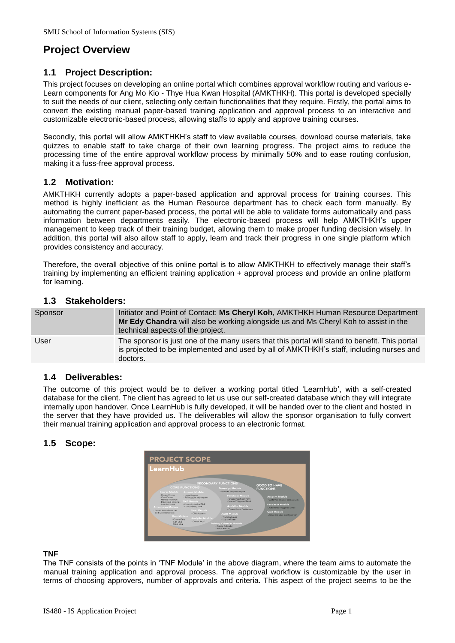## **Project Overview**

#### **1.1 Project Description:**

This project focuses on developing an online portal which combines approval workflow routing and various e-Learn components for Ang Mo Kio - Thye Hua Kwan Hospital (AMKTHKH). This portal is developed specially to suit the needs of our client, selecting only certain functionalities that they require. Firstly, the portal aims to convert the existing manual paper-based training application and approval process to an interactive and customizable electronic-based process, allowing staffs to apply and approve training courses.

Secondly, this portal will allow AMKTHKH's staff to view available courses, download course materials, take quizzes to enable staff to take charge of their own learning progress. The project aims to reduce the processing time of the entire approval workflow process by minimally 50% and to ease routing confusion, making it a fuss-free approval process.

#### **1.2 Motivation:**

AMKTHKH currently adopts a paper-based application and approval process for training courses. This method is highly inefficient as the Human Resource department has to check each form manually. By automating the current paper-based process, the portal will be able to validate forms automatically and pass information between departments easily. The electronic-based process will help AMKTHKH's upper management to keep track of their training budget, allowing them to make proper funding decision wisely. In addition, this portal will also allow staff to apply, learn and track their progress in one single platform which provides consistency and accuracy.

Therefore, the overall objective of this online portal is to allow AMKTHKH to effectively manage their staff's training by implementing an efficient training application + approval process and provide an online platform for learning.

#### **1.3 Stakeholders:**

| Sponsor | Initiator and Point of Contact: Ms Cheryl Koh, AMKTHKH Human Resource Department<br>Mr Edy Chandra will also be working alongside us and Ms Cheryl Koh to assist in the<br>technical aspects of the project. |
|---------|--------------------------------------------------------------------------------------------------------------------------------------------------------------------------------------------------------------|
| User    | The sponsor is just one of the many users that this portal will stand to benefit. This portal<br>is projected to be implemented and used by all of AMKTHKH's staff, including nurses and<br>doctors.         |

#### **1.4 Deliverables:**

The outcome of this project would be to deliver a working portal titled 'LearnHub', with a self-created database for the client. The client has agreed to let us use our self-created database which they will integrate internally upon handover. Once LearnHub is fully developed, it will be handed over to the client and hosted in the server that they have provided us. The deliverables will allow the sponsor organisation to fully convert their manual training application and approval process to an electronic format.

#### **1.5 Scope:**



#### **TNF**

The TNF consists of the points in 'TNF Module' in the above diagram, where the team aims to automate the manual training application and approval process. The approval workflow is customizable by the user in terms of choosing approvers, number of approvals and criteria. This aspect of the project seems to be the